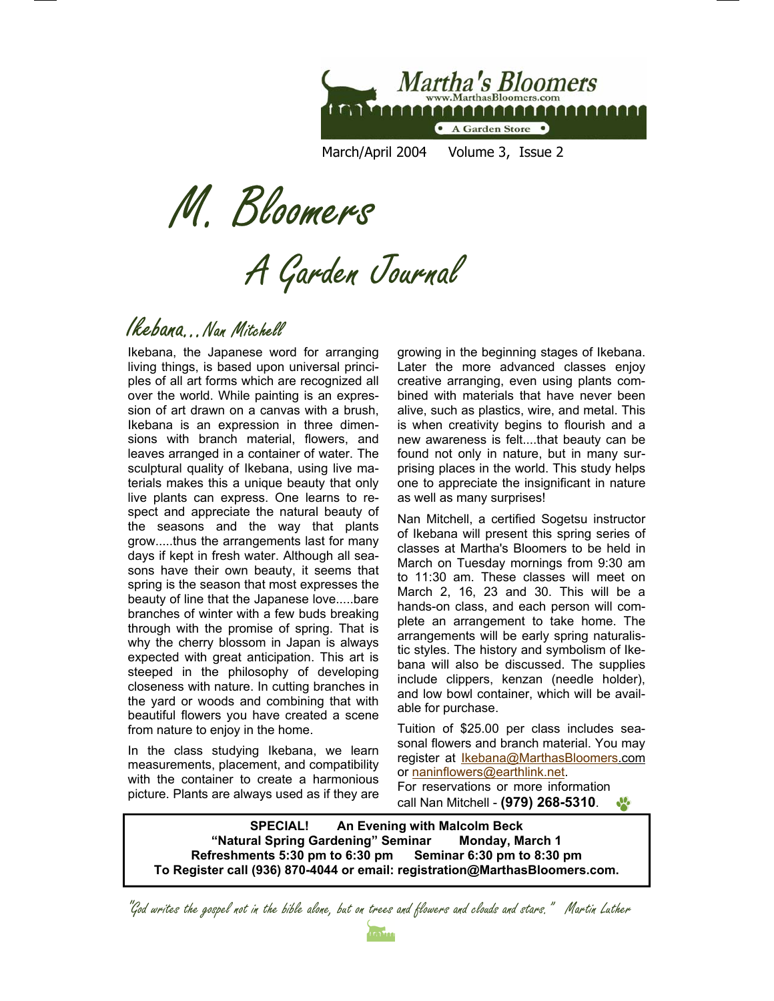

March/April 2004 Volume 3, Issue 2

M. Bloomers

A Garden Journal

#### Ikebana...Nan Mitchell

Ikebana, the Japanese word for arranging living things, is based upon universal principles of all art forms which are recognized all over the world. While painting is an expression of art drawn on a canvas with a brush, Ikebana is an expression in three dimensions with branch material, flowers, and leaves arranged in a container of water. The sculptural quality of Ikebana, using live materials makes this a unique beauty that only live plants can express. One learns to respect and appreciate the natural beauty of the seasons and the way that plants grow.....thus the arrangements last for many days if kept in fresh water. Although all seasons have their own beauty, it seems that spring is the season that most expresses the beauty of line that the Japanese love.....bare branches of winter with a few buds breaking through with the promise of spring. That is why the cherry blossom in Japan is always expected with great anticipation. This art is steeped in the philosophy of developing closeness with nature. In cutting branches in the yard or woods and combining that with beautiful flowers you have created a scene from nature to enjoy in the home.

In the class studying Ikebana, we learn measurements, placement, and compatibility with the container to create a harmonious picture. Plants are always used as if they are

growing in the beginning stages of Ikebana. Later the more advanced classes enjoy creative arranging, even using plants combined with materials that have never been alive, such as plastics, wire, and metal. This is when creativity begins to flourish and a new awareness is felt....that beauty can be found not only in nature, but in many surprising places in the world. This study helps one to appreciate the insignificant in nature as well as many surprises!

Nan Mitchell, a certified Sogetsu instructor of Ikebana will present this spring series of classes at Martha's Bloomers to be held in March on Tuesday mornings from 9:30 am to 11:30 am. These classes will meet on March 2, 16, 23 and 30. This will be a hands-on class, and each person will complete an arrangement to take home. The arrangements will be early spring naturalistic styles. The history and symbolism of Ikebana will also be discussed. The supplies include clippers, kenzan (needle holder), and low bowl container, which will be available for purchase.

Tuition of \$25.00 per class includes seasonal flowers and branch material. You may register at **Ikebana@MarthasBloomers.com** or naninflowers@earthlink.net. For reservations or more information call Nan Mitchell - **(979) 268-5310**.  $\mathbf{v}_i$ 

**SPECIAL! An Evening with Malcolm Beck "Natural Spring Gardening" Seminar Monday, March 1 Refreshments 5:30 pm to 6:30 pm Seminar 6:30 pm to 8:30 pm To Register call (936) 870-4044 or email: registration@MarthasBloomers.com.** 

"God writes the gospel not in the bible alone, but on trees and flowers and clouds and stars." Martin Luther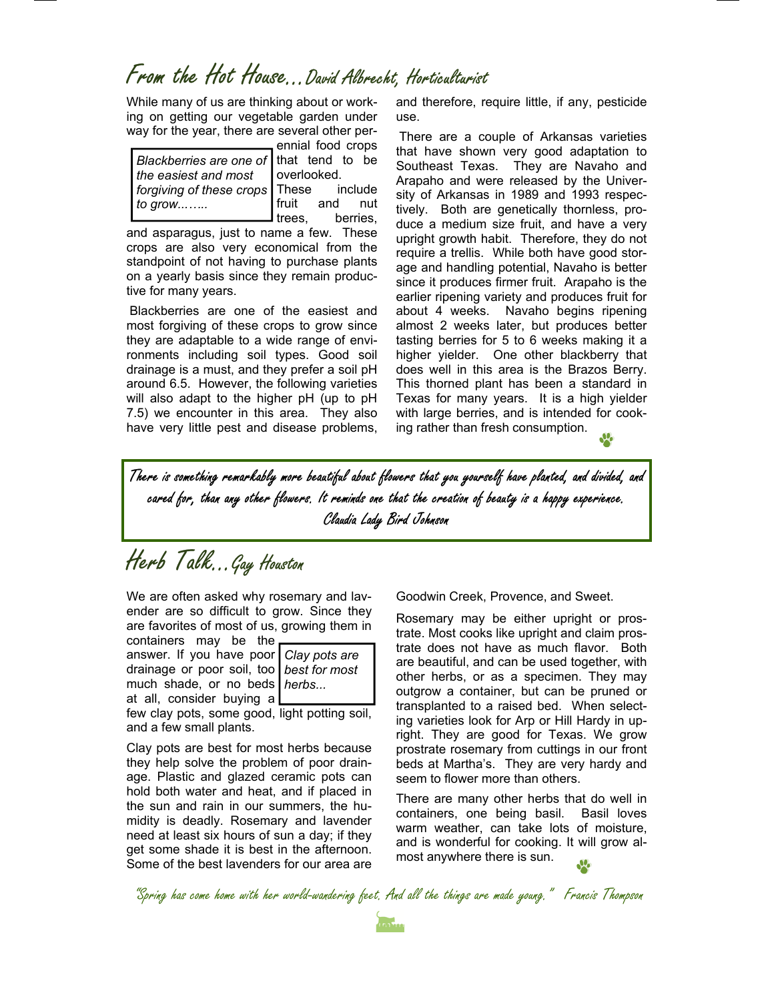# From the Hot House...David Albrecht, Horticulturist

While many of us are thinking about or working on getting our vegetable garden under way for the year, there are several other per-

*Blackberries are one of* that tend to be *the easiest and most forgiving of these crops to grow...…..* 

ennial food crops overlooked.

include fruit and nut trees, berries,

and asparagus, just to name a few. These crops are also very economical from the standpoint of not having to purchase plants on a yearly basis since they remain productive for many years.

Blackberries are one of the easiest and most forgiving of these crops to grow since they are adaptable to a wide range of environments including soil types. Good soil drainage is a must, and they prefer a soil pH around 6.5. However, the following varieties will also adapt to the higher pH (up to pH 7.5) we encounter in this area. They also have very little pest and disease problems,

and therefore, require little, if any, pesticide use.

There are a couple of Arkansas varieties that have shown very good adaptation to Southeast Texas. They are Navaho and Arapaho and were released by the University of Arkansas in 1989 and 1993 respectively. Both are genetically thornless, produce a medium size fruit, and have a very upright growth habit. Therefore, they do not require a trellis. While both have good storage and handling potential, Navaho is better since it produces firmer fruit. Arapaho is the earlier ripening variety and produces fruit for about 4 weeks. Navaho begins ripening almost 2 weeks later, but produces better tasting berries for 5 to 6 weeks making it a higher yielder. One other blackberry that does well in this area is the Brazos Berry. This thorned plant has been a standard in Texas for many years. It is a high yielder with large berries, and is intended for cooking rather than fresh consumption.

There is something remarkably more beautiful about flowers that you yourself have planted, and divided, and cared for, than any other flowers. It reminds one that the creation of beauty is a happy experience. Claudia Lady Bird Johnson

Herb Talk...Gay Houston

We are often asked why rosemary and lavender are so difficult to grow. Since they are favorites of most of us, growing them in

containers may be the answer. If you have poo drainage or poor soil, to much shade, or no beds at all, consider buying a

| ັ |                 |
|---|-----------------|
|   | r Clay pots are |
|   | o best for most |
|   | s herbs         |
|   |                 |

few clay pots, some good, light potting soil, and a few small plants.

Clay pots are best for most herbs because they help solve the problem of poor drainage. Plastic and glazed ceramic pots can hold both water and heat, and if placed in the sun and rain in our summers, the humidity is deadly. Rosemary and lavender need at least six hours of sun a day; if they get some shade it is best in the afternoon. Some of the best lavenders for our area are Goodwin Creek, Provence, and Sweet.

Rosemary may be either upright or prostrate. Most cooks like upright and claim prostrate does not have as much flavor. Both are beautiful, and can be used together, with other herbs, or as a specimen. They may outgrow a container, but can be pruned or transplanted to a raised bed. When selecting varieties look for Arp or Hill Hardy in upright. They are good for Texas. We grow prostrate rosemary from cuttings in our front beds at Martha's. They are very hardy and seem to flower more than others.

There are many other herbs that do well in containers, one being basil. Basil loves warm weather, can take lots of moisture, and is wonderful for cooking. It will grow almost anywhere there is sun.

"Spring has come home with her world-wandering feet. And all the things are made young." Francis Thompson

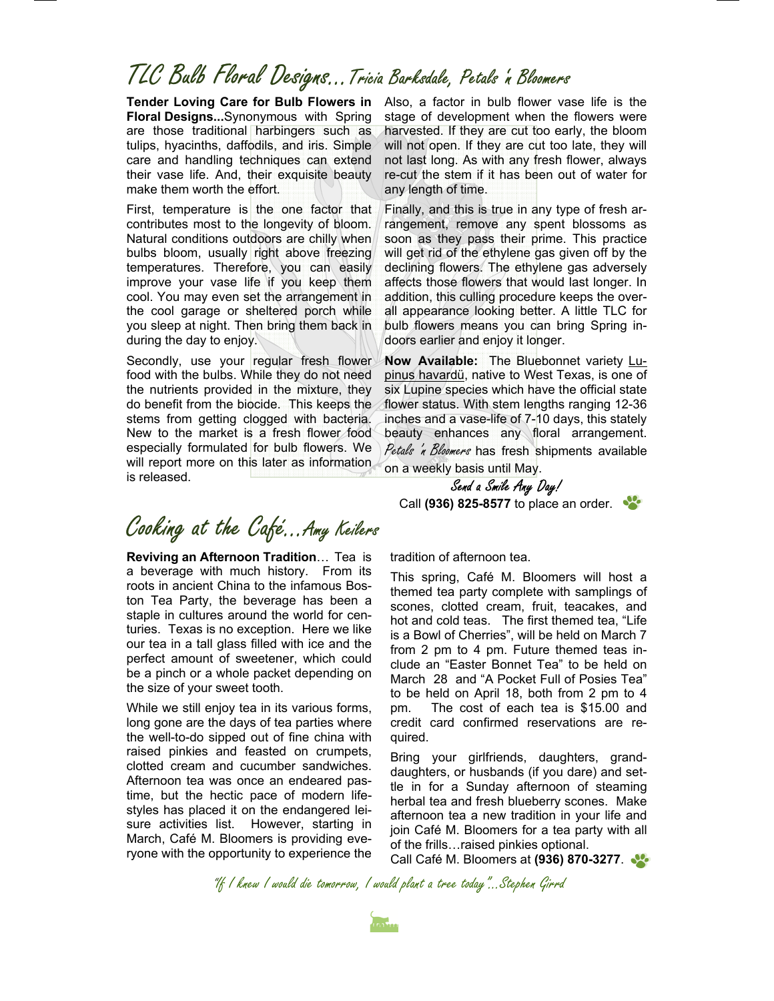# TLC Bulb Floral Designs...Tricia Barksdale, Petals 'n Bloomers

**Tender Loving Care for Bulb Flowers in Floral Designs...**Synonymous with Spring are those traditional harbingers such as tulips, hyacinths, daffodils, and iris. Simple care and handling techniques can extend their vase life. And, their exquisite beauty make them worth the effort.

First, temperature is the one factor that contributes most to the longevity of bloom. Natural conditions outdoors are chilly when bulbs bloom, usually right above freezing temperatures. Therefore, you can easily improve your vase life if you keep them cool. You may even set the arrangement in the cool garage or sheltered porch while you sleep at night. Then bring them back in during the day to enjoy.

Secondly, use your regular fresh flower food with the bulbs. While they do not need the nutrients provided in the mixture, they do benefit from the biocide. This keeps the stems from getting clogged with bacteria. New to the market is a fresh flower food especially formulated for bulb flowers. We will report more on this later as information is released.

Also, a factor in bulb flower vase life is the stage of development when the flowers were harvested. If they are cut too early, the bloom will not open. If they are cut too late, they will not last long. As with any fresh flower, always re-cut the stem if it has been out of water for any length of time.

Finally, and this is true in any type of fresh arrangement, remove any spent blossoms as soon as they pass their prime. This practice will get rid of the ethylene gas given off by the declining flowers. The ethylene gas adversely affects those flowers that would last longer. In addition, this culling procedure keeps the overall appearance looking better. A little TLC for bulb flowers means you can bring Spring indoors earlier and enjoy it longer.

**Now Available:** The Bluebonnet variety Lupinus havardü, native to West Texas, is one of six Lupine species which have the official state flower status. With stem lengths ranging 12-36 inches and a vase-life of 7-10 days, this stately beauty enhances any floral arrangement. Petals 'n Bloomers has fresh shipments available on a weekly basis until May.



# Cooking at the Café...Amy Keilers

**Reviving an Afternoon Tradition**… Tea is a beverage with much history. From its roots in ancient China to the infamous Boston Tea Party, the beverage has been a staple in cultures around the world for centuries. Texas is no exception. Here we like our tea in a tall glass filled with ice and the perfect amount of sweetener, which could be a pinch or a whole packet depending on the size of your sweet tooth.

While we still enjoy tea in its various forms, long gone are the days of tea parties where the well-to-do sipped out of fine china with raised pinkies and feasted on crumpets, clotted cream and cucumber sandwiches. Afternoon tea was once an endeared pastime, but the hectic pace of modern lifestyles has placed it on the endangered leisure activities list. However, starting in March, Café M. Bloomers is providing everyone with the opportunity to experience the

tradition of afternoon tea.

This spring, Café M. Bloomers will host a themed tea party complete with samplings of scones, clotted cream, fruit, teacakes, and hot and cold teas. The first themed tea, "Life is a Bowl of Cherries", will be held on March 7 from 2 pm to 4 pm. Future themed teas include an "Easter Bonnet Tea" to be held on March 28 and "A Pocket Full of Posies Tea" to be held on April 18, both from 2 pm to 4 pm. The cost of each tea is \$15.00 and credit card confirmed reservations are required.

Bring your girlfriends, daughters, granddaughters, or husbands (if you dare) and settle in for a Sunday afternoon of steaming herbal tea and fresh blueberry scones. Make afternoon tea a new tradition in your life and join Café M. Bloomers for a tea party with all of the frills…raised pinkies optional.

Call Café M. Bloomers at **(936) 870-3277**.

"If I knew I would die tomorrow, I would plant a tree today"...Stephen Girrd

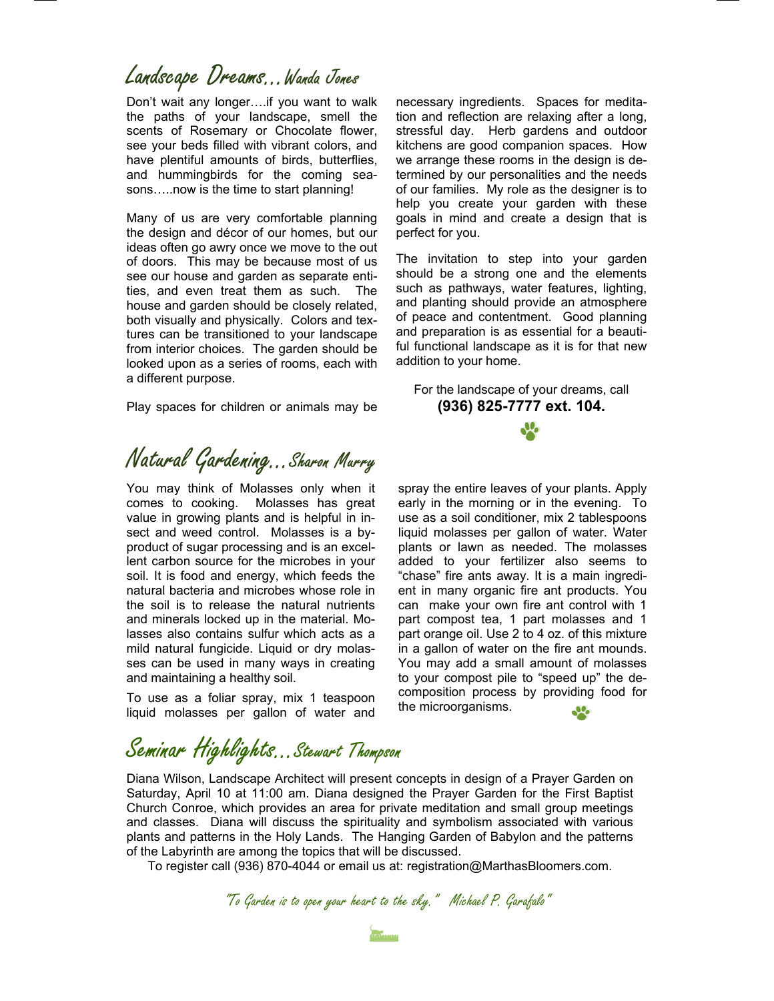#### Landscape Dreams...Wanda Jones

Don't wait any longer….if you want to walk the paths of your landscape, smell the scents of Rosemary or Chocolate flower, see your beds filled with vibrant colors, and have plentiful amounts of birds, butterflies, and hummingbirds for the coming seasons…..now is the time to start planning!

Many of us are very comfortable planning the design and décor of our homes, but our ideas often go awry once we move to the out of doors. This may be because most of us see our house and garden as separate entities, and even treat them as such. The house and garden should be closely related, both visually and physically. Colors and textures can be transitioned to your landscape from interior choices. The garden should be looked upon as a series of rooms, each with a different purpose.

Play spaces for children or animals may be

Natural Gardening…Sharon Murry

You may think of Molasses only when it comes to cooking. Molasses has great value in growing plants and is helpful in insect and weed control. Molasses is a byproduct of sugar processing and is an excellent carbon source for the microbes in your soil. It is food and energy, which feeds the natural bacteria and microbes whose role in the soil is to release the natural nutrients and minerals locked up in the material. Molasses also contains sulfur which acts as a mild natural fungicide. Liquid or dry molasses can be used in many ways in creating and maintaining a healthy soil.

To use as a foliar spray, mix 1 teaspoon liquid molasses per gallon of water and

Seminar Highlights…Stewart Thompson

Diana Wilson, Landscape Architect will present concepts in design of a Prayer Garden on Saturday, April 10 at 11:00 am. Diana designed the Prayer Garden for the First Baptist Church Conroe, which provides an area for private meditation and small group meetings and classes. Diana will discuss the spirituality and symbolism associated with various plants and patterns in the Holy Lands. The Hanging Garden of Babylon and the patterns of the Labyrinth are among the topics that will be discussed.

To register call (936) 870-4044 or email us at: registration@MarthasBloomers.com.

"To Garden is to open your heart to the sky." Michael P. Garafalo"

necessary ingredients. Spaces for meditation and reflection are relaxing after a long, stressful day. Herb gardens and outdoor kitchens are good companion spaces. How we arrange these rooms in the design is determined by our personalities and the needs of our families. My role as the designer is to help you create your garden with these goals in mind and create a design that is perfect for you.

The invitation to step into your garden should be a strong one and the elements such as pathways, water features, lighting, and planting should provide an atmosphere of peace and contentment. Good planning and preparation is as essential for a beautiful functional landscape as it is for that new addition to your home.

For the landscape of your dreams, call **(936) 825-7777 ext. 104.** 

spray the entire leaves of your plants. Apply early in the morning or in the evening. To use as a soil conditioner, mix 2 tablespoons liquid molasses per gallon of water. Water plants or lawn as needed. The molasses added to your fertilizer also seems to "chase" fire ants away. It is a main ingredient in many organic fire ant products. You can make your own fire ant control with 1 part compost tea, 1 part molasses and 1 part orange oil. Use 2 to 4 oz. of this mixture in a gallon of water on the fire ant mounds. You may add a small amount of molasses to your compost pile to "speed up" the decomposition process by providing food for the microorganisms.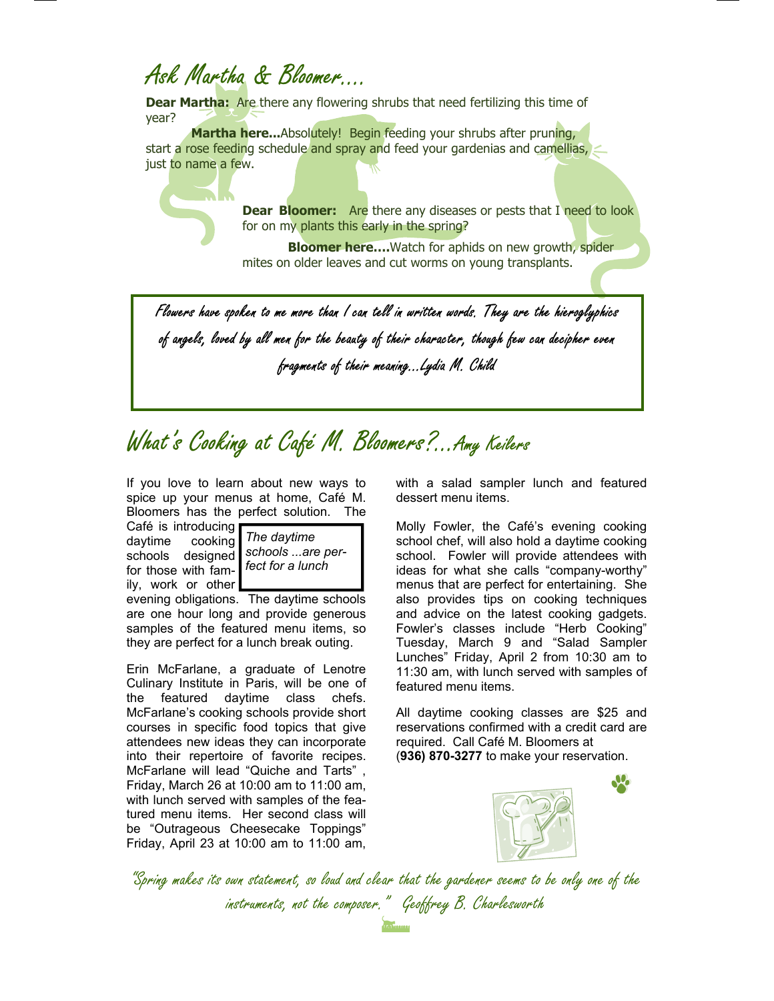## Ask Martha & Bloomer….

**Dear Martha:** Are there any flowering shrubs that need fertilizing this time of year?

**Martha here...**Absolutely! Begin feeding your shrubs after pruning, start a rose feeding schedule and spray and feed your gardenias and camellias, just to name a few.

> **Dear Bloomer:** Are there any diseases or pests that I need to look for on my plants this early in the spring?

**Bloomer here....**Watch for aphids on new growth, spider mites on older leaves and cut worms on young transplants.

Flowers have spoken to me more than I can tell in written words. They are the hieroglyphics of angels, loved by all men for the beauty of their character, though few can decipher even fragments of their meaning...Lydia M. Child

# What's Cooking at Café M. Bloomers?...Amy Keilers

If you love to learn about new ways to spice up your menus at home, Café M. Bloomers has the perfect solution. The

Café is introducing daytime cooking schools designed for those with family, work or other



evening obligations. The daytime schools are one hour long and provide generous samples of the featured menu items, so they are perfect for a lunch break outing.

Erin McFarlane, a graduate of Lenotre Culinary Institute in Paris, will be one of the featured daytime class chefs. McFarlane's cooking schools provide short courses in specific food topics that give attendees new ideas they can incorporate into their repertoire of favorite recipes. McFarlane will lead "Quiche and Tarts" , Friday, March 26 at 10:00 am to 11:00 am, with lunch served with samples of the featured menu items. Her second class will be "Outrageous Cheesecake Toppings" Friday, April 23 at 10:00 am to 11:00 am,

with a salad sampler lunch and featured dessert menu items.

Molly Fowler, the Café's evening cooking school chef, will also hold a daytime cooking school. Fowler will provide attendees with ideas for what she calls "company-worthy" menus that are perfect for entertaining. She also provides tips on cooking techniques and advice on the latest cooking gadgets. Fowler's classes include "Herb Cooking" Tuesday, March 9 and "Salad Sampler Lunches" Friday, April 2 from 10:30 am to 11:30 am, with lunch served with samples of featured menu items.

All daytime cooking classes are \$25 and reservations confirmed with a credit card are required. Call Café M. Bloomers at (**936) 870-3277** to make your reservation.



"Spring makes its own statement, so loud and clear that the gardener seems to be only one of the instruments, not the composer." Geoffrey B. Charlesworth